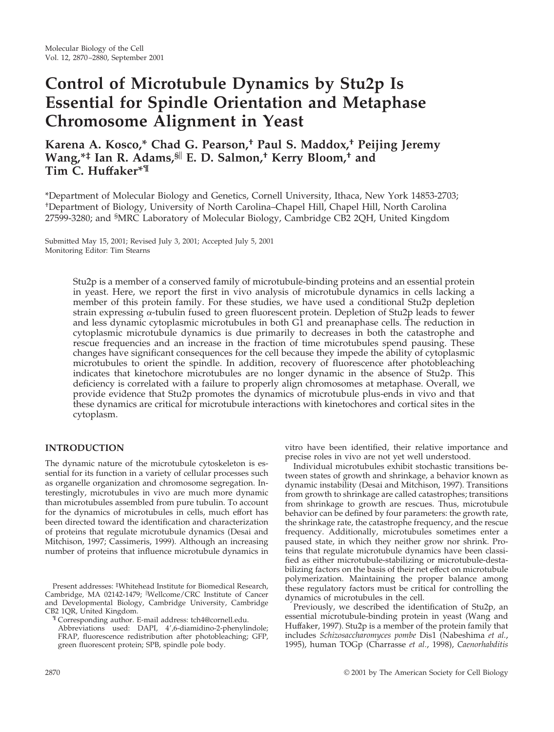# **Control of Microtubule Dynamics by Stu2p Is Essential for Spindle Orientation and Metaphase Chromosome Alignment in Yeast**

**Karena A. Kosco,\* Chad G. Pearson,† Paul S. Maddox,† Peijing Jeremy Wang,\*‡ Ian R. Adams,§ E. D. Salmon,† Kerry Bloom,† and Tim C. Huffaker\*¶**

\*Department of Molecular Biology and Genetics, Cornell University, Ithaca, New York 14853-2703; † Department of Biology, University of North Carolina–Chapel Hill, Chapel Hill, North Carolina 27599-3280; and <sup>§</sup>MRC Laboratory of Molecular Biology, Cambridge CB2 2QH, United Kingdom

Submitted May 15, 2001; Revised July 3, 2001; Accepted July 5, 2001 Monitoring Editor: Tim Stearns

> Stu2p is a member of a conserved family of microtubule-binding proteins and an essential protein in yeast. Here, we report the first in vivo analysis of microtubule dynamics in cells lacking a member of this protein family. For these studies, we have used a conditional Stu2p depletion strain expressing  $\alpha$ -tubulin fused to green fluorescent protein. Depletion of Stu2p leads to fewer and less dynamic cytoplasmic microtubules in both G1 and preanaphase cells. The reduction in cytoplasmic microtubule dynamics is due primarily to decreases in both the catastrophe and rescue frequencies and an increase in the fraction of time microtubules spend pausing. These changes have significant consequences for the cell because they impede the ability of cytoplasmic microtubules to orient the spindle. In addition, recovery of fluorescence after photobleaching indicates that kinetochore microtubules are no longer dynamic in the absence of Stu2p. This deficiency is correlated with a failure to properly align chromosomes at metaphase. Overall, we provide evidence that Stu2p promotes the dynamics of microtubule plus-ends in vivo and that these dynamics are critical for microtubule interactions with kinetochores and cortical sites in the cytoplasm.

# **INTRODUCTION**

The dynamic nature of the microtubule cytoskeleton is essential for its function in a variety of cellular processes such as organelle organization and chromosome segregation. Interestingly, microtubules in vivo are much more dynamic than microtubules assembled from pure tubulin. To account for the dynamics of microtubules in cells, much effort has been directed toward the identification and characterization of proteins that regulate microtubule dynamics (Desai and Mitchison, 1997; Cassimeris, 1999). Although an increasing number of proteins that influence microtubule dynamics in

Present addresses: ‡ Whitehead Institute for Biomedical Research, Cambridge, MA 02142-1479; Wellcome/CRC Institute of Cancer and Developmental Biology, Cambridge University, Cambridge CB2 1QR, United Kingdom. ¶ Corresponding author. E-mail address: tch4@cornell.edu.

Abbreviations used: DAPI, 4',6-diamidino-2-phenylindole; FRAP, fluorescence redistribution after photobleaching; GFP, green fluorescent protein; SPB, spindle pole body.

vitro have been identified, their relative importance and precise roles in vivo are not yet well understood.

Individual microtubules exhibit stochastic transitions between states of growth and shrinkage, a behavior known as dynamic instability (Desai and Mitchison, 1997). Transitions from growth to shrinkage are called catastrophes; transitions from shrinkage to growth are rescues. Thus, microtubule behavior can be defined by four parameters: the growth rate, the shrinkage rate, the catastrophe frequency, and the rescue frequency. Additionally, microtubules sometimes enter a paused state, in which they neither grow nor shrink. Proteins that regulate microtubule dynamics have been classified as either microtubule-stabilizing or microtubule-destabilizing factors on the basis of their net effect on microtubule polymerization. Maintaining the proper balance among these regulatory factors must be critical for controlling the dynamics of microtubules in the cell.

Previously, we described the identification of Stu2p, an essential microtubule-binding protein in yeast (Wang and Huffaker, 1997). Stu2p is a member of the protein family that includes *Schizosaccharomyces pombe* Dis1 (Nabeshima *et al.*, 1995), human TOGp (Charrasse *et al.*, 1998), *Caenorhabditis*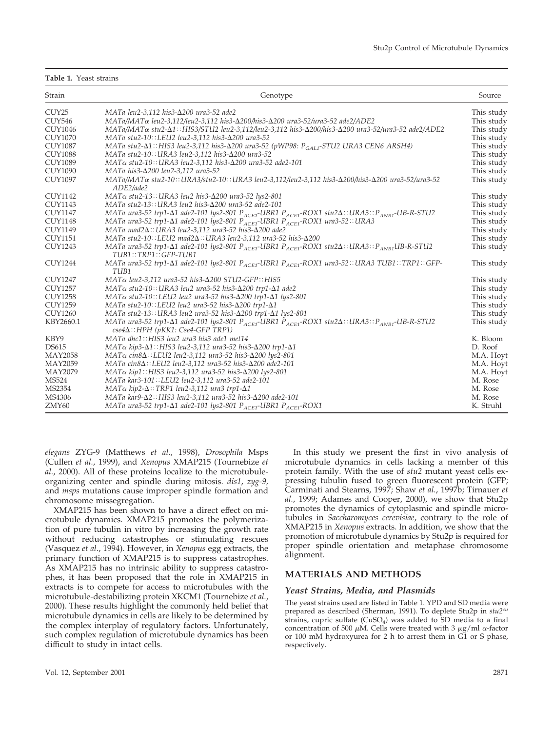#### **Table 1.** Yeast strains

| Strain            | Genotype                                                                                                                                                                                          | Source     |
|-------------------|---------------------------------------------------------------------------------------------------------------------------------------------------------------------------------------------------|------------|
| CUY <sub>25</sub> | MATa leu2-3,112 his3-Δ200 ura3-52 ade2                                                                                                                                                            | This study |
| CUY546            | MATa/MATα leu2-3,112/leu2-3,112 his3-Δ200/his3-Δ200 ura3-52/ura3-52 ade2/ADE2                                                                                                                     | This study |
| <b>CUY1046</b>    | MATa/MATα stu2-Δ1:: HIS3/STU2 leu2-3,112/leu2-3,112 his3-Δ200/his3-Δ200 ura3-52/ura3-52 ade2/ADE2                                                                                                 | This study |
| <b>CUY1070</b>    | MATa stu2-10::LEU2 leu2-3,112 his3-∆200 ura3-52                                                                                                                                                   | This study |
| <b>CUY1087</b>    | MATa stu2- $\Delta$ 1::HIS3 leu2-3,112 his3- $\Delta$ 200 ura3-52 (pWP98: P <sub>GAL1</sub> -STU2 URA3 CEN6 ARSH4)                                                                                | This study |
| <b>CUY1088</b>    | MATa stu2-10:: URA3 leu2-3,112 his3-Δ200 ura3-52                                                                                                                                                  | This study |
| <b>CUY1089</b>    | MATα stu2-10:: URA3 leu2-3,112 his3-Δ200 ura3-52 ade2-101                                                                                                                                         | This study |
| <b>CUY1090</b>    | MATa his3-Δ200 leu2-3,112 ura3-52                                                                                                                                                                 | This study |
| <b>CUY1097</b>    | MATa/MATα stu2-10:: URA3/stu2-10:: URA3 leu2-3,112/leu2-3,112 his3-Δ200/his3-Δ200 ura3-52/ura3-52<br>ADE2/ade2                                                                                    | This study |
| <b>CUY1142</b>    | $MAT\alpha$ stu2-13:: URA3 leu2 his3- $\Delta$ 200 ura3-52 lys2-801                                                                                                                               | This study |
| <b>CUY1143</b>    | MATa stu2-13:: URA3 leu2 his3- $\Delta$ 200 ura3-52 ade2-101                                                                                                                                      | This study |
| <b>CUY1147</b>    | MATa ura3-52 trp1- $\Delta$ 1 ade2-101 lys2-801 P <sub>ACE1</sub> -UBR1 P <sub>ACE1</sub> -ROX1 stu2 $\Delta$ :: URA3:: P <sub>ANB1</sub> -UB-R-STU2                                              | This study |
| <b>CUY1148</b>    | MATa ura3-52 trp1- $\Delta$ 1 ade2-101 lys2-801 P <sub>ACE1</sub> -UBR1 P <sub>ACE1</sub> -ROX1 ura3-52:: URA3                                                                                    | This study |
| <b>CUY1149</b>    | MATa mad2Δ:: URA3 leu2-3,112 ura3-52 his3-Δ200 ade2                                                                                                                                               | This study |
| <b>CUY1151</b>    | MATa stu2-10::LEU2 mad2 $\Delta$ ::URA3 leu2-3,112 ura3-52 his3- $\Delta$ 200                                                                                                                     | This study |
| <b>CUY1243</b>    | MATa ura3-52 trp1- $\Delta$ 1 ade2-101 lys2-801 P <sub>ACE1</sub> -UBR1 P <sub>ACE1</sub> -ROX1 stu2 $\Delta$ :: URA3:: P <sub>ANR1</sub> UB-R-STU2<br>$TUB1::TRP1::GFP-TUB1$                     | This study |
| <b>CUY1244</b>    | MATa ura3-52 trp1- $\Delta$ 1 ade2-101 lys2-801 P <sub>ACEJ</sub> -UBR1 P <sub>ACEJ</sub> -ROX1 ura3-52:: URA3 TUB1::TRP1::GFP-<br>TUB1                                                           | This study |
| <b>CUY1247</b>    | MATα leu2-3,112 ura3-52 his3-Δ200 STU2-GFP:: HIS5                                                                                                                                                 | This study |
| <b>CUY1257</b>    | $MAT\alpha$ stu2-10:: URA3 leu2 ura3-52 his3- $\Delta$ 200 trp1- $\Delta$ 1 ade2                                                                                                                  | This study |
| <b>CUY1258</b>    | $MAT\alpha$ stu2-10::LEU2 leu2 ura3-52 his3- $\Delta$ 200 trp1- $\Delta$ 1 lys2-801                                                                                                               | This study |
| <b>CUY1259</b>    | MATa stu2-10::LEU2 leu2 ura3-52 his3- $\Delta$ 200 trp1- $\Delta$ 1                                                                                                                               | This study |
| <b>CUY1260</b>    | MATa stu2-13:: URA3 leu2 ura3-52 his3- $\Delta$ 200 trp1- $\Delta$ 1 lys2-801                                                                                                                     | This study |
| KBY2660.1         | MATa ura3-52 trp1- $\Delta$ 1 ade2-101 lys2-801 P <sub>ACE1</sub> -UBR1 P <sub>ACE1</sub> -ROX1 stu2 $\Delta$ :: URA3:: P <sub>ANB1</sub> -UB-R-STU2<br>$cse4\Delta$ :: HPH (pKK1: Cse4-GFP TRP1) | This study |
| KBY9              | MATa dhc1:: HIS3 leu2 ura3 his3 ade1 met14                                                                                                                                                        | K. Bloom   |
| <b>DS615</b>      | MATα kip3- $\Delta$ 1:: HIS3 leu2-3,112 ura3-52 his3- $\Delta$ 200 trp1- $\Delta$ 1                                                                                                               | D. Roof    |
| <b>MAY2058</b>    | $MAT\alpha$ cin8 $\Delta$ :: LEU2 leu2-3,112 ura3-52 his3- $\Delta$ 200 lys2-801                                                                                                                  | M.A. Hoyt  |
| <b>MAY2059</b>    | MATa cin8Δ::LEU2 leu2-3,112 ura3-52 his3-Δ200 ade2-101                                                                                                                                            | M.A. Hoyt  |
| <b>MAY2079</b>    | $MAT\alpha$ kip1:: HIS3 leu2-3,112 ura3-52 his3- $\Delta$ 200 lys2-801                                                                                                                            | M.A. Hoyt  |
| MS524             | MATa kar3-101::LEU2 leu2-3,112 ura3-52 ade2-101                                                                                                                                                   | M. Rose    |
| MS2354            | $MAT\alpha$ kip2- $\Delta$ ::TRP1 leu2-3,112 ura3 trp1- $\Delta$ 1                                                                                                                                | M. Rose    |
| MS4306            | MATa kar9-Δ2:: HIS3 leu2-3,112 ura3-52 his3-Δ200 ade2-101                                                                                                                                         | M. Rose    |
| ZMY60             | MATa ura3-52 trp1- $\Delta$ 1 ade2-101 lys2-801 P <sub>ACE1</sub> -UBR1 P <sub>ACE1</sub> -ROX1                                                                                                   | K. Struhl  |

*elegans* ZYG-9 (Matthews *et al.*, 1998), *Drosophila* Msps (Cullen *et al.*, 1999), and *Xenopus* XMAP215 (Tournebize *et al.*, 2000). All of these proteins localize to the microtubuleorganizing center and spindle during mitosis. *dis1*, *zyg-9,* and *msps* mutations cause improper spindle formation and chromosome missegregation.

XMAP215 has been shown to have a direct effect on microtubule dynamics. XMAP215 promotes the polymerization of pure tubulin in vitro by increasing the growth rate without reducing catastrophes or stimulating rescues (Vasquez *et al.*, 1994). However, in *Xenopus* egg extracts, the primary function of XMAP215 is to suppress catastrophes. As XMAP215 has no intrinsic ability to suppress catastrophes, it has been proposed that the role in XMAP215 in extracts is to compete for access to microtubules with the microtubule-destabilizing protein XKCM1 (Tournebize *et al.*, 2000). These results highlight the commonly held belief that microtubule dynamics in cells are likely to be determined by the complex interplay of regulatory factors. Unfortunately, such complex regulation of microtubule dynamics has been difficult to study in intact cells.

In this study we present the first in vivo analysis of microtubule dynamics in cells lacking a member of this protein family. With the use of *stu2* mutant yeast cells expressing tubulin fused to green fluorescent protein (GFP; Carminati and Stearns, 1997; Shaw *et al.*, 1997b; Tirnauer *et al.*, 1999; Adames and Cooper, 2000), we show that Stu2p promotes the dynamics of cytoplasmic and spindle microtubules in *Saccharomyces cerevisiae*, contrary to the role of XMAP215 in *Xenopus* extracts. In addition, we show that the promotion of microtubule dynamics by Stu2p is required for proper spindle orientation and metaphase chromosome alignment.

#### **MATERIALS AND METHODS**

#### *Yeast Strains, Media, and Plasmids*

The yeast strains used are listed in Table 1. YPD and SD media were prepared as described (Sherman, 1991). To deplete Stu2p in *stu2cu* strains, cupric sulfate  $(CuSO<sub>4</sub>)$  was added to SD media to a final concentration of 500  $\mu$ M. Cells were treated with 3  $\mu$ g/ml  $\alpha$ -factor or 100 mM hydroxyurea for 2 h to arrest them in G1 or S phase, respectively.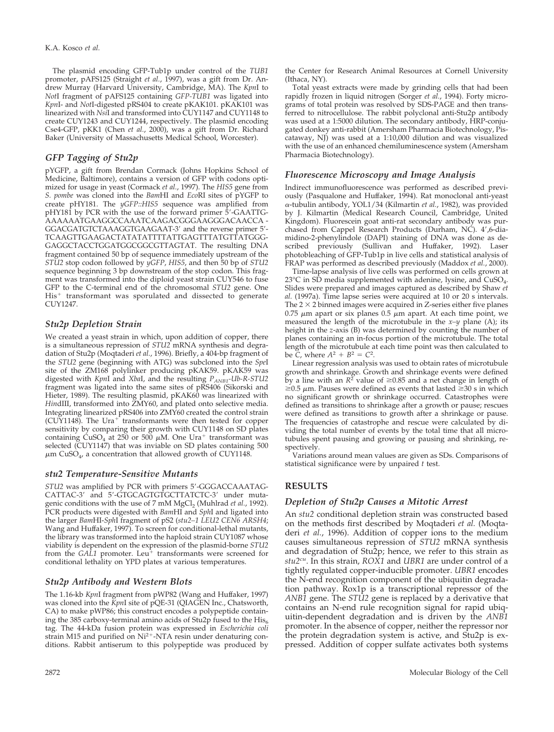The plasmid encoding GFP-Tub1p under control of the *TUB1* promoter, pAFS125 (Straight *et al.*, 1997), was a gift from Dr. Andrew Murray (Harvard University, Cambridge, MA). The *Kpn*I to *Not*I fragment of pAFS125 containing *GFP-TUB1* was ligated into *Kpn*I- and *Not*I-digested pRS404 to create pKAK101. pKAK101 was linearized with *Nsi*I and transformed into CUY1147 and CUY1148 to create CUY1243 and CUY1244, respectively. The plasmid encoding Cse4-GFP, pKK1 (Chen *et al.*, 2000), was a gift from Dr. Richard Baker (University of Massachusetts Medical School, Worcester).

## *GFP Tagging of Stu2p*

pYGFP, a gift from Brendan Cormack (Johns Hopkins School of Medicine, Baltimore), contains a version of GFP with codons optimized for usage in yeast (Cormack *et al.*, 1997). The *HIS5* gene from *S. pombe* was cloned into the *Bam*HI and *Eco*RI sites of pYGFP to create pHY181. The *yGFP::HIS5* sequence was amplified from pHY181 by PCR with the use of the forward primer 5'-GAATTG-AAAAAATGAAGGCCAAATCAAGACGGGAAGGGACAACCA - GGACGATGTCTAAAGGTGAAGAAT-3' and the reverse primer 5'-TCAAGTTGAAGACTATATATTTTATTGAGTTTATGTTATGGG-GAGGCTACCTGGATGGCGGCGTTAGTAT. The resulting DNA fragment contained 50 bp of sequence immediately upstream of the *STU2* stop codon followed by *yGFP*, *HIS5*, and then 50 bp of *STU2* sequence beginning 3 bp downstream of the stop codon. This fragment was transformed into the diploid yeast strain CUY546 to fuse GFP to the C-terminal end of the chromosomal *STU2* gene. One His<sup>+</sup> transformant was sporulated and dissected to generate CUY1247.

## *Stu2p Depletion Strain*

We created a yeast strain in which, upon addition of copper, there is a simultaneous repression of *STU2* mRNA synthesis and degradation of Stu2p (Moqtaderi *et al.*, 1996). Briefly, a 404-bp fragment of the *STU2* gene (beginning with ATG) was subcloned into the *Spe*I site of the ZM168 polylinker producing pKAK59. pKAK59 was digested with *Kpn*I and *Xba*I, and the resulting *PANB1-Ub-R-STU2* fragment was ligated into the same sites of pRS406 (Sikorski and Hieter, 1989). The resulting plasmid, pKAK60 was linearized with *Hin*dIII, transformed into ZMY60, and plated onto selective media. Integrating linearized pRS406 into ZMY60 created the control strain  $(CUY1148)$ . The Ura<sup>+</sup> transformants were then tested for copper sensitivity by comparing their growth with CUY1148 on SD plates containing  $\text{CuSO}_4$  at 250 or 500  $\mu$ M. One Ura<sup>+</sup> transformant was selected (CUY1147) that was inviable on SD plates containing 500  $\mu$ m CuSO<sub>4</sub>, a concentration that allowed growth of CUY1148.

## *stu2 Temperature-Sensitive Mutants*

STU2 was amplified by PCR with primers 5'-GGGACCAAATAG-CATTAC-3' and 5'-GTGCAGTGTGCTTATCTC-3' under mutagenic conditions with the use of 7 mM MgCl<sub>2</sub> (Muhlrad *et al.*, 1992). PCR products were digested with *Bam*HI and *Sph*I and ligated into the larger *Bam*HI-*Sph*I fragment of pS2 (*stu2–1 LEU2 CEN6 ARSH4*; Wang and Huffaker, 1997). To screen for conditional-lethal mutants, the library was transformed into the haploid strain CUY1087 whose viability is dependent on the expression of the plasmid-borne *STU2* from the *GAL1* promoter. Leu<sup>+</sup> transformants were screened for conditional lethality on YPD plates at various temperatures.

# *Stu2p Antibody and Western Blots*

The 1.16-kb *Kpn*I fragment from pWP82 (Wang and Huffaker, 1997) was cloned into the *Kpn*I site of pQE-31 (QIAGEN Inc., Chatsworth, CA) to make pWP86; this construct encodes a polypeptide containing the 385 carboxy-terminal amino acids of Stu2p fused to the  $His<sub>6</sub>$ tag. The 44-kDa fusion protein was expressed in *Escherichia coli* strain M15 and purified on  $Ni^{2+}$ -NTA resin under denaturing conditions. Rabbit antiserum to this polypeptide was produced by the Center for Research Animal Resources at Cornell University (Ithaca, NY).

Total yeast extracts were made by grinding cells that had been rapidly frozen in liquid nitrogen (Sorger *et al.*, 1994). Forty micrograms of total protein was resolved by SDS-PAGE and then transferred to nitrocellulose. The rabbit polyclonal anti-Stu2p antibody was used at a 1:5000 dilution. The secondary antibody, HRP-conjugated donkey anti-rabbit (Amersham Pharmacia Biotechnology, Piscataway, NJ) was used at a 1:10,000 dilution and was visualized with the use of an enhanced chemiluminescence system (Amersham Pharmacia Biotechnology).

# *Fluorescence Microscopy and Image Analysis*

Indirect immunofluorescence was performed as described previously (Pasqualone and Huffaker, 1994). Rat monoclonal anti-yeast -tubulin antibody, YOL1/34 (Kilmartin *et al.*, 1982), was provided by J. Kilmartin (Medical Research Council, Cambridge, United Kingdom). Fluorescein goat anti-rat secondary antibody was purchased from Cappel Research Products (Durham, NC). 4',6-diamidino-2-phenylindole (DAPI) staining of DNA was done as described previously (Sullivan and Huffaker, 1992). Laser photobleaching of GFP-Tub1p in live cells and statistical analysis of FRAP was performed as described previously (Maddox *et al.*, 2000).

Time-lapse analysis of live cells was performed on cells grown at 23 $\degree$ C in SD media supplemented with adenine, lysine, and CuSO<sub>4</sub>. Slides were prepared and images captured as described by Shaw *et al.* (1997a). Time lapse series were acquired at 10 or 20 s intervals. The  $2 \times 2$  binned images were acquired in Z-series either five planes  $0.75$   $\mu$ m apart or six planes  $0.5$   $\mu$ m apart. At each time point, we measured the length of the microtubule in the *x–y* plane (A); its height in the *z*-axis (B) was determined by counting the number of planes containing an in-focus portion of the microtubule. The total length of the microtubule at each time point was then calculated to be  $\bar{C}$ , where  $A^2 + B^2 = C^2$ .

Linear regression analysis was used to obtain rates of microtubule growth and shrinkage. Growth and shrinkage events were defined by a line with an  $R^2$  value of  $\geq 0.85$  and a net change in length of  $\geq$ 0.5  $\mu$ m. Pauses were defined as events that lasted  $\geq$ 30 s in which no significant growth or shrinkage occurred. Catastrophes were defined as transitions to shrinkage after a growth or pause; rescues were defined as transitions to growth after a shrinkage or pause. The frequencies of catastrophe and rescue were calculated by dividing the total number of events by the total time that all microtubules spent pausing and growing or pausing and shrinking, respectively.

Variations around mean values are given as SDs. Comparisons of statistical significance were by unpaired *t* test.

# **RESULTS**

# *Depletion of Stu2p Causes a Mitotic Arrest*

An *stu2* conditional depletion strain was constructed based on the methods first described by Moqtaderi *et al.* (Moqtaderi *et al.*, 1996). Addition of copper ions to the medium causes simultaneous repression of *STU2* mRNA synthesis and degradation of Stu2p; hence, we refer to this strain as *stu2cu*. In this strain, *ROX1* and *UBR1* are under control of a tightly regulated copper-inducible promoter. *UBR1* encodes the N-end recognition component of the ubiquitin degradation pathway. Rox1p is a transcriptional repressor of the *ANB1* gene. The *STU2* gene is replaced by a derivative that contains an N-end rule recognition signal for rapid ubiquitin-dependent degradation and is driven by the *ANB1* promoter. In the absence of copper, neither the repressor nor the protein degradation system is active, and Stu2p is expressed. Addition of copper sulfate activates both systems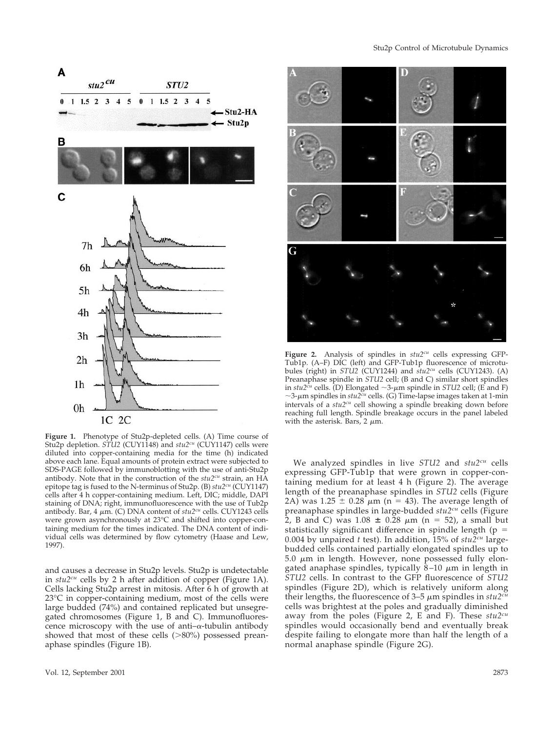

**Figure 1.** Phenotype of Stu2p-depleted cells. (A) Time course of Stu2p depletion. *STU2* (CUY1148) and *stu2cu* (CUY1147) cells were diluted into copper-containing media for the time (h) indicated above each lane. Equal amounts of protein extract were subjected to SDS-PAGE followed by immunoblotting with the use of anti-Stu2p antibody. Note that in the construction of the *stu2cu* strain, an HA epitope tag is fused to the N-terminus of Stu2p. (B) *stu2cu* (CUY1147) cells after 4 h copper-containing medium. Left, DIC; middle, DAPI staining of DNA; right, immunofluorescence with the use of Tub2p antibody. Bar, 4  $\mu$ m. (C) DNA content of *stu2<sup>cu</sup>* cells. CUY1243 cells were grown asynchronously at 23°C and shifted into copper-containing medium for the times indicated. The DNA content of individual cells was determined by flow cytometry (Haase and Lew, 1997).

and causes a decrease in Stu2p levels. Stu2p is undetectable in *stu2<sup>cu</sup>* cells by 2 h after addition of copper (Figure 1A). Cells lacking Stu2p arrest in mitosis. After 6 h of growth at 23°C in copper-containing medium, most of the cells were large budded (74%) and contained replicated but unsegregated chromosomes (Figure 1, B and C). Immunofluorescence microscopy with the use of anti- $\alpha$ -tubulin antibody showed that most of these cells  $(>80%)$  possessed preanaphase spindles (Figure 1B).



**Figure 2.** Analysis of spindles in *stu2cu* cells expressing GFP-Tub1p. (A–F) DIC (left) and GFP-Tub1p fluorescence of microtubules (right) in *STU2* (CUY1244) and *stu2cu* cells (CUY1243). (A) Preanaphase spindle in *STU2* cell; (B and C) similar short spindles in  $stu2^{cu}$  cells. (D) Elongated  $\sim$ 3- $\mu$ m spindle in *STU2* cell; (E and F)  $\sim$ 3- $\mu$ m spindles in *stu*2<sup>*cu*</sup> cells. (G) Time-lapse images taken at 1-min intervals of a *stu2cu* cell showing a spindle breaking down before reaching full length. Spindle breakage occurs in the panel labeled with the asterisk. Bars, 2  $\mu$ m.

We analyzed spindles in live *STU2* and *stu2cu* cells expressing GFP-Tub1p that were grown in copper-containing medium for at least 4 h (Figure 2). The average length of the preanaphase spindles in *STU2* cells (Figure 2A) was 1.25  $\pm$  0.28  $\mu$ m (n = 43). The average length of preanaphase spindles in large-budded *stu2cu* cells (Figure 2, B and C) was  $1.08 \pm 0.28 \mu m$  (n = 52), a small but statistically significant difference in spindle length ( $p =$ 0.004 by unpaired *t* test). In addition, 15% of *stu2cu* largebudded cells contained partially elongated spindles up to 5.0  $\mu$ m in length. However, none possessed fully elongated anaphase spindles, typically 8–10  $\mu$ m in length in *STU2* cells. In contrast to the GFP fluorescence of *STU2* spindles (Figure 2D), which is relatively uniform along their lengths, the fluorescence of 3–5  $\mu$ m spindles in *stu2<sup>cu</sup>* cells was brightest at the poles and gradually diminished away from the poles (Figure 2, E and F). These *stu2cu* spindles would occasionally bend and eventually break despite failing to elongate more than half the length of a normal anaphase spindle (Figure 2G).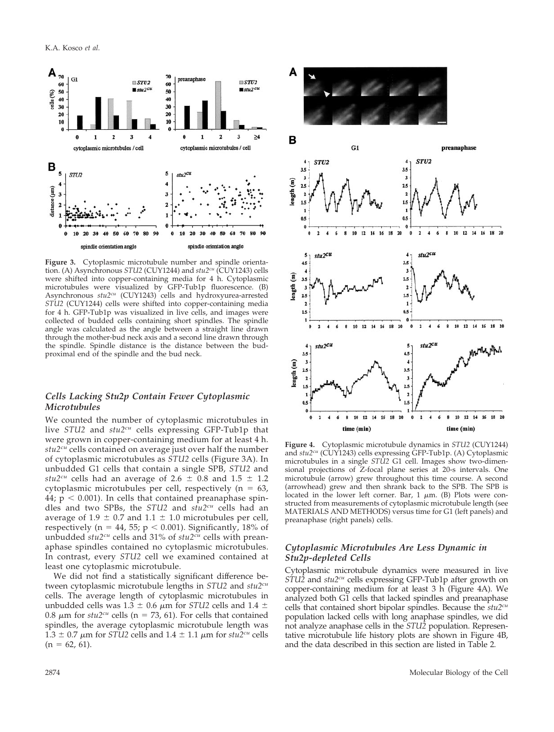

**Figure 3.** Cytoplasmic microtubule number and spindle orientation. (A) Asynchronous *STU2* (CUY1244) and *stu2cu* (CUY1243) cells were shifted into copper-containing media for 4 h. Cytoplasmic microtubules were visualized by GFP-Tub1p fluorescence. (B) Asynchronous  $stu2^{cu}$  (CUY1243) cells and hydroxyurea-arrested *STU2* (CUY1244) cells were shifted into copper-containing media for 4 h. GFP-Tub1p was visualized in live cells, and images were collected of budded cells containing short spindles. The spindle angle was calculated as the angle between a straight line drawn through the mother-bud neck axis and a second line drawn through the spindle. Spindle distance is the distance between the budproximal end of the spindle and the bud neck.

## *Cells Lacking Stu2p Contain Fewer Cytoplasmic Microtubules*

We counted the number of cytoplasmic microtubules in live *STU2* and *stu2cu* cells expressing GFP-Tub1p that were grown in copper-containing medium for at least 4 h. *stu2cu* cells contained on average just over half the number of cytoplasmic microtubules as *STU2* cells (Figure 3A). In unbudded G1 cells that contain a single SPB, *STU2* and *stu2<sup>cu</sup>* cells had an average of 2.6  $\pm$  0.8 and 1.5  $\pm$  1.2 cytoplasmic microtubules per cell, respectively ( $n = 63$ ,  $44$ ;  $p < 0.001$ ). In cells that contained preanaphase spindles and two SPBs, the *STU2* and *stu2cu* cells had an average of 1.9  $\pm$  0.7 and 1.1  $\pm$  1.0 microtubules per cell, respectively (n = 44, 55; p < 0.001). Significantly, 18% of unbudded *stu2cu* cells and 31% of *stu2cu* cells with preanaphase spindles contained no cytoplasmic microtubules. In contrast, every *STU2* cell we examined contained at least one cytoplasmic microtubule.

We did not find a statistically significant difference between cytoplasmic microtubule lengths in *STU2* and *stu2cu* cells. The average length of cytoplasmic microtubules in unbudded cells was  $1.3 \pm 0.6$   $\mu$ m for *STU2* cells and  $1.4 \pm$ 0.8  $\mu$ m for *stu2<sup>cu</sup>* cells (n = 73, 61). For cells that contained spindles, the average cytoplasmic microtubule length was  $1.3 \pm 0.7 \mu$ m for *STU2* cells and  $1.4 \pm 1.1 \mu$ m for *stu2<sup>cu</sup>* cells  $(n = 62, 61)$ .



**Figure 4.** Cytoplasmic microtubule dynamics in *STU2* (CUY1244) and *stu2cu* (CUY1243) cells expressing GFP-Tub1p. (A) Cytoplasmic microtubules in a single *STU2* G1 cell. Images show two-dimensional projections of Z-focal plane series at 20-s intervals. One microtubule (arrow) grew throughout this time course. A second (arrowhead) grew and then shrank back to the SPB. The SPB is located in the lower left corner. Bar, 1  $\mu$ m. (B) Plots were constructed from measurements of cytoplasmic microtubule length (see MATERIALS AND METHODS) versus time for G1 (left panels) and preanaphase (right panels) cells.

## *Cytoplasmic Microtubules Are Less Dynamic in Stu2p-depleted Cells*

Cytoplasmic microtubule dynamics were measured in live *STU2* and *stu2cu* cells expressing GFP-Tub1p after growth on copper-containing medium for at least 3 h (Figure 4A). We analyzed both G1 cells that lacked spindles and preanaphase cells that contained short bipolar spindles. Because the *stu2cu* population lacked cells with long anaphase spindles, we did not analyze anaphase cells in the *STU2* population. Representative microtubule life history plots are shown in Figure 4B, and the data described in this section are listed in Table 2.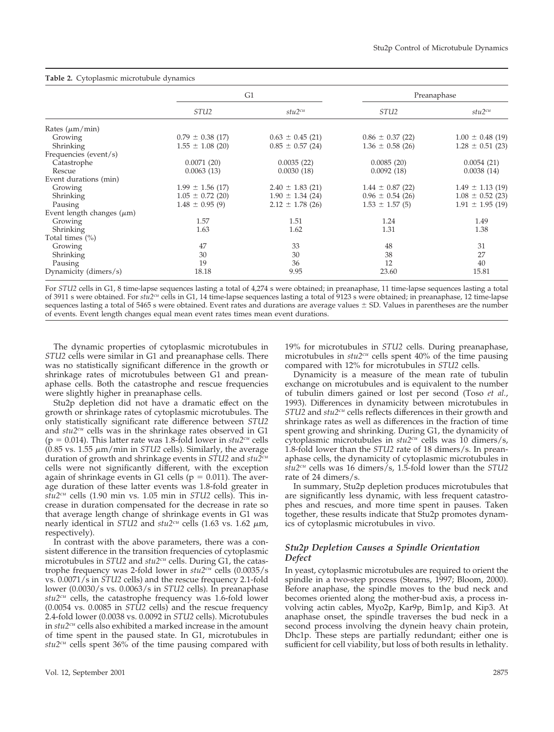| <b>Table 2.</b> Cytopiasmic interotubule dynamics |                      |                      |                      |                      |  |  |  |
|---------------------------------------------------|----------------------|----------------------|----------------------|----------------------|--|--|--|
|                                                   | G1                   |                      | Preanaphase          |                      |  |  |  |
|                                                   | STU <sub>2</sub>     | $stu2^{cu}$          | STU <sub>2</sub>     | stu2cu               |  |  |  |
| Rates $(\mu m/min)$                               |                      |                      |                      |                      |  |  |  |
| Growing                                           | $0.79 \pm 0.38$ (17) | $0.63 \pm 0.45$ (21) | $0.86 \pm 0.37$ (22) | $1.00 \pm 0.48$ (19) |  |  |  |
| Shrinking                                         | $1.55 \pm 1.08$ (20) | $0.85 \pm 0.57$ (24) | $1.36 \pm 0.58$ (26) | $1.28 \pm 0.51$ (23) |  |  |  |
| Frequencies (event/s)                             |                      |                      |                      |                      |  |  |  |
| Catastrophe                                       | 0.0071(20)           | 0.0035(22)           | 0.0085(20)           | 0.0054(21)           |  |  |  |
| Rescue                                            | 0.0063(13)           | 0.0030(18)           | 0.0092(18)           | 0.0038(14)           |  |  |  |
| Event durations (min)                             |                      |                      |                      |                      |  |  |  |
| Growing                                           | $1.99 \pm 1.56$ (17) | $2.40 \pm 1.83$ (21) | $1.44 \pm 0.87$ (22) | $1.49 \pm 1.13$ (19) |  |  |  |
| Shrinking                                         | $1.05 \pm 0.72$ (20) | $1.90 \pm 1.34$ (24) | $0.96 \pm 0.54$ (26) | $1.08 \pm 0.52$ (23) |  |  |  |
| Pausing                                           | $1.48 \pm 0.95$ (9)  | $2.12 \pm 1.78$ (26) | $1.53 \pm 1.57$ (5)  | $1.91 \pm 1.95$ (19) |  |  |  |
| Event length changes $(\mu m)$                    |                      |                      |                      |                      |  |  |  |
| Growing                                           | 1.57                 | 1.51                 | 1.24                 | 1.49                 |  |  |  |
| Shrinking                                         | 1.63                 | 1.62                 | 1.31                 | 1.38                 |  |  |  |
| Total times $(\%)$                                |                      |                      |                      |                      |  |  |  |
| Growing                                           | 47                   | 33                   | 48                   | 31                   |  |  |  |
| Shrinking                                         | 30                   | 30                   | 38                   | 27                   |  |  |  |
| Pausing                                           | 19                   | 36                   | 12                   | 40                   |  |  |  |
| Dynamicity (dimers/s)                             | 18.18                | 9.95                 | 23.60                | 15.81                |  |  |  |

## **Table 2.** Cytoplasmic microtubule dynamics

For *STU2* cells in G1, 8 time-lapse sequences lasting a total of 4,274 s were obtained; in preanaphase, 11 time-lapse sequences lasting a total of 3911 s were obtained. For *stu2cu* cells in G1, 14 time-lapse sequences lasting a total of 9123 s were obtained; in preanaphase, 12 time-lapse sequences lasting a total of 5465 s were obtained. Event rates and durations are average values ± SD. Values in parentheses are the number of events. Event length changes equal mean event rates times mean event durations.

The dynamic properties of cytoplasmic microtubules in *STU2* cells were similar in G1 and preanaphase cells. There was no statistically significant difference in the growth or shrinkage rates of microtubules between G1 and preanaphase cells. Both the catastrophe and rescue frequencies were slightly higher in preanaphase cells.

Stu2p depletion did not have a dramatic effect on the growth or shrinkage rates of cytoplasmic microtubules. The only statistically significant rate difference between *STU2* and *stu2cu* cells was in the shrinkage rates observed in G1 ( $p = 0.014$ ). This latter rate was 1.8-fold lower in  $stu2<sup>cu</sup>$  cells  $(0.85 \text{ vs. } 1.55 \text{ }\mu\text{m/min} \text{ in } STU2 \text{ cells})$ . Similarly, the average duration of growth and shrinkage events in *STU2* and *stu2cu* cells were not significantly different, with the exception again of shrinkage events in G1 cells ( $p = 0.011$ ). The average duration of these latter events was 1.8-fold greater in *stu2cu* cells (1.90 min vs. 1.05 min in *STU2* cells). This increase in duration compensated for the decrease in rate so that average length change of shrinkage events in G1 was nearly identical in *STU2* and  $stu2^{cu}$  cells (1.63 vs. 1.62  $\mu$ m, respectively).

In contrast with the above parameters, there was a consistent difference in the transition frequencies of cytoplasmic microtubules in *STU2* and *stu2cu* cells. During G1, the catastrophe frequency was 2-fold lower in *stu2cu* cells (0.0035/s vs. 0.0071/s in *STU2* cells) and the rescue frequency 2.1-fold lower (0.0030/s vs. 0.0063/s in *STU2* cells). In preanaphase *stu2cu* cells, the catastrophe frequency was 1.6-fold lower (0.0054 vs. 0.0085 in *STU2* cells) and the rescue frequency 2.4-fold lower (0.0038 vs. 0.0092 in *STU2* cells). Microtubules in *stu2cu* cells also exhibited a marked increase in the amount of time spent in the paused state. In G1, microtubules in *stu2cu* cells spent 36% of the time pausing compared with

19% for microtubules in *STU2* cells. During preanaphase, microtubules in *stu2cu* cells spent 40% of the time pausing compared with 12% for microtubules in *STU2* cells.

Dynamicity is a measure of the mean rate of tubulin exchange on microtubules and is equivalent to the number of tubulin dimers gained or lost per second (Toso *et al.*, 1993). Differences in dynamicity between microtubules in *STU2* and *stu2cu* cells reflects differences in their growth and shrinkage rates as well as differences in the fraction of time spent growing and shrinking. During G1, the dynamicity of cytoplasmic microtubules in *stu2cu* cells was 10 dimers/s, 1.8-fold lower than the *STU2* rate of 18 dimers/s. In preanaphase cells, the dynamicity of cytoplasmic microtubules in *stu2cu* cells was 16 dimers/s, 1.5-fold lower than the *STU2* rate of 24 dimers/s.

In summary, Stu2p depletion produces microtubules that are significantly less dynamic, with less frequent catastrophes and rescues, and more time spent in pauses. Taken together, these results indicate that Stu2p promotes dynamics of cytoplasmic microtubules in vivo.

## *Stu2p Depletion Causes a Spindle Orientation Defect*

In yeast, cytoplasmic microtubules are required to orient the spindle in a two-step process (Stearns, 1997; Bloom, 2000). Before anaphase, the spindle moves to the bud neck and becomes oriented along the mother-bud axis, a process involving actin cables, Myo2p, Kar9p, Bim1p, and Kip3. At anaphase onset, the spindle traverses the bud neck in a second process involving the dynein heavy chain protein, Dhc1p. These steps are partially redundant; either one is sufficient for cell viability, but loss of both results in lethality.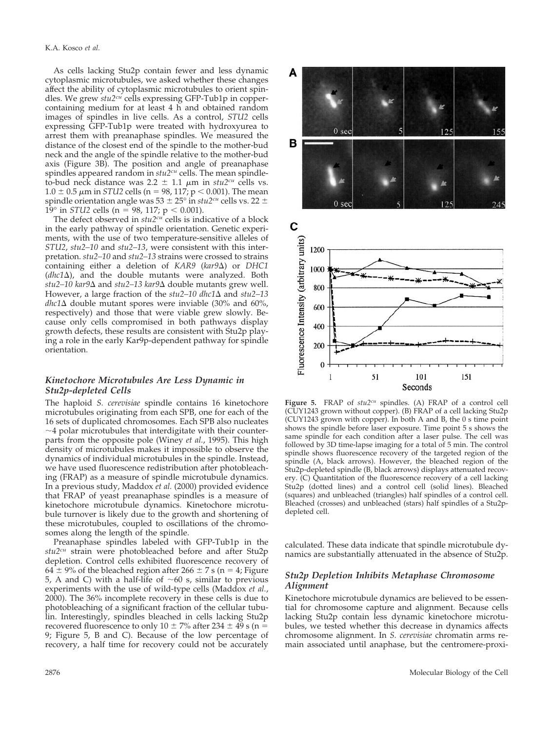As cells lacking Stu2p contain fewer and less dynamic cytoplasmic microtubules, we asked whether these changes affect the ability of cytoplasmic microtubules to orient spindles. We grew *stu2cu* cells expressing GFP-Tub1p in coppercontaining medium for at least 4 h and obtained random images of spindles in live cells. As a control, *STU2* cells expressing GFP-Tub1p were treated with hydroxyurea to arrest them with preanaphase spindles. We measured the distance of the closest end of the spindle to the mother-bud neck and the angle of the spindle relative to the mother-bud axis (Figure 3B). The position and angle of preanaphase spindles appeared random in *stu2cu* cells. The mean spindleto-bud neck distance was  $2.2 \pm 1.1 \mu m$  in  $stu2^{cu}$  cells vs.  $1.0 \pm 0.5 \ \mu m$  in *STU2* cells (n = 98, 117; p  $<$  0.001). The mean spindle orientation angle was  $53 \pm 25^\circ$  in  $stu2^{cu}$  cells vs. 22  $\pm$  $19^{\circ}$  in *STU2* cells (n = 98, 117; p < 0.001).

The defect observed in  $stu2<sup>cu</sup>$  cells is indicative of a block in the early pathway of spindle orientation. Genetic experiments, with the use of two temperature-sensitive alleles of *STU2*, *stu2–10* and *stu2–13*, were consistent with this interpretation. *stu2–10* and *stu2–13* strains were crossed to strains containing either a deletion of *KAR9* (*kar9*Δ) or *DHC1* (*dhc1*-), and the double mutants were analyzed. Both *stu2–10 kar9*∆ and *stu2–13 kar9*∆ double mutants grew well. However, a large fraction of the  $stu2-10$  dhc1 $\Delta$  and  $stu2-13$  $dhc1\Delta$  double mutant spores were inviable (30% and 60%, respectively) and those that were viable grew slowly. Because only cells compromised in both pathways display growth defects, these results are consistent with Stu2p playing a role in the early Kar9p-dependent pathway for spindle orientation.

#### *Kinetochore Microtubules Are Less Dynamic in Stu2p-depleted Cells*

The haploid *S. cerevisiae* spindle contains 16 kinetochore microtubules originating from each SPB, one for each of the 16 sets of duplicated chromosomes. Each SPB also nucleates  $\sim$ 4 polar microtubules that interdigitate with their counterparts from the opposite pole (Winey *et al.*, 1995). This high density of microtubules makes it impossible to observe the dynamics of individual microtubules in the spindle. Instead, we have used fluorescence redistribution after photobleaching (FRAP) as a measure of spindle microtubule dynamics. In a previous study, Maddox *et al.* (2000) provided evidence that FRAP of yeast preanaphase spindles is a measure of kinetochore microtubule dynamics. Kinetochore microtubule turnover is likely due to the growth and shortening of these microtubules, coupled to oscillations of the chromosomes along the length of the spindle.

Preanaphase spindles labeled with GFP-Tub1p in the *stu2cu* strain were photobleached before and after Stu2p depletion. Control cells exhibited fluorescence recovery of 64  $\pm$  9% of the bleached region after 266  $\pm$  7 s (n = 4; Figure 5, A and C) with a half-life of  $\sim 60$  s, similar to previous experiments with the use of wild-type cells (Maddox *et al.*, 2000). The 36% incomplete recovery in these cells is due to photobleaching of a significant fraction of the cellular tubulin. Interestingly, spindles bleached in cells lacking Stu2p recovered fluorescence to only  $10 \pm 7\%$  after  $234 \pm 49$  s (n = 9; Figure 5, B and C). Because of the low percentage of recovery, a half time for recovery could not be accurately



**Figure 5.** FRAP of *stu2cu* spindles. (A) FRAP of a control cell (CUY1243 grown without copper). (B) FRAP of a cell lacking Stu2p (CUY1243 grown with copper). In both A and B, the 0 s time point shows the spindle before laser exposure. Time point 5 s shows the same spindle for each condition after a laser pulse. The cell was followed by 3D time-lapse imaging for a total of 5 min. The control spindle shows fluorescence recovery of the targeted region of the spindle (A, black arrows). However, the bleached region of the Stu2p-depleted spindle (B, black arrows) displays attenuated recovery. (C) Quantitation of the fluorescence recovery of a cell lacking Stu2p (dotted lines) and a control cell (solid lines). Bleached (squares) and unbleached (triangles) half spindles of a control cell. Bleached (crosses) and unbleached (stars) half spindles of a Stu2pdepleted cell.

calculated. These data indicate that spindle microtubule dynamics are substantially attenuated in the absence of Stu2p.

## *Stu2p Depletion Inhibits Metaphase Chromosome Alignment*

Kinetochore microtubule dynamics are believed to be essential for chromosome capture and alignment. Because cells lacking Stu2p contain less dynamic kinetochore microtubules, we tested whether this decrease in dynamics affects chromosome alignment. In *S. cerevisiae* chromatin arms remain associated until anaphase, but the centromere-proxi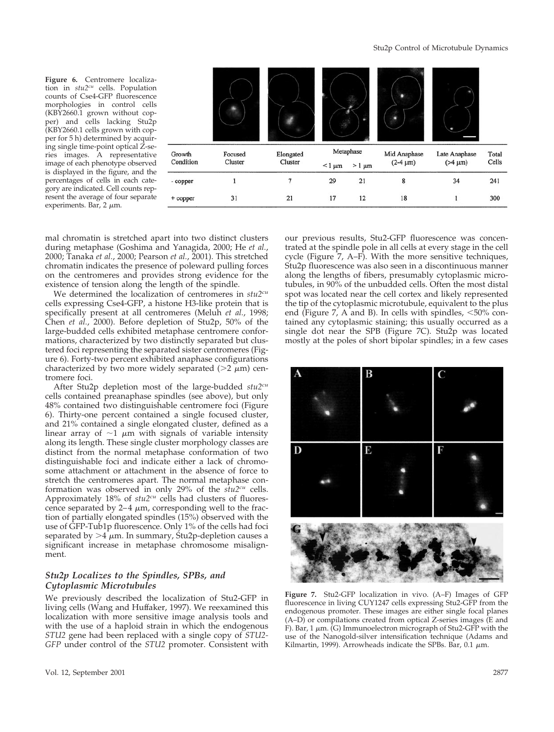**Figure 6.** Centromere localization in *stu2cu* cells. Population counts of Cse4-GFP fluorescence morphologies in control cells (KBY2660.1 grown without copper) and cells lacking Stu2p (KBY2660.1 cells grown with copper for 5 h) determined by acquiring single time-point optical Z-series images. A representative image of each phenotype observed is displayed in the figure, and the percentages of cells in each category are indicated. Cell counts represent the average of four separate experiments. Bar,  $2 \mu m$ .



mal chromatin is stretched apart into two distinct clusters during metaphase (Goshima and Yanagida, 2000; He *et al.*, 2000; Tanaka *et al.*, 2000; Pearson *et al.*, 2001). This stretched chromatin indicates the presence of poleward pulling forces on the centromeres and provides strong evidence for the existence of tension along the length of the spindle.

We determined the localization of centromeres in *stu2cu* cells expressing Cse4-GFP, a histone H3-like protein that is specifically present at all centromeres (Meluh *et al.*, 1998; Chen *et al.*, 2000). Before depletion of Stu2p, 50% of the large-budded cells exhibited metaphase centromere conformations, characterized by two distinctly separated but clustered foci representing the separated sister centromeres (Figure 6). Forty-two percent exhibited anaphase configurations characterized by two more widely separated  $(>=2 \mu m)$  centromere foci.

After Stu2p depletion most of the large-budded *stu2cu* cells contained preanaphase spindles (see above), but only 48% contained two distinguishable centromere foci (Figure 6). Thirty-one percent contained a single focused cluster, and 21% contained a single elongated cluster, defined as a linear array of  $\sim$ 1  $\mu$ m with signals of variable intensity along its length. These single cluster morphology classes are distinct from the normal metaphase conformation of two distinguishable foci and indicate either a lack of chromosome attachment or attachment in the absence of force to stretch the centromeres apart. The normal metaphase conformation was observed in only 29% of the *stu2cu* cells. Approximately 18% of *stu2<sup>cu</sup>* cells had clusters of fluorescence separated by 2–4  $\mu$ m, corresponding well to the fraction of partially elongated spindles (15%) observed with the use of GFP-Tub1p fluorescence. Only 1% of the cells had foci separated by  $>$ 4  $\mu$ m. In summary, Stu2p-depletion causes a significant increase in metaphase chromosome misalignment.

## *Stu2p Localizes to the Spindles, SPBs, and Cytoplasmic Microtubules*

We previously described the localization of Stu2-GFP in living cells (Wang and Huffaker, 1997). We reexamined this localization with more sensitive image analysis tools and with the use of a haploid strain in which the endogenous *STU2* gene had been replaced with a single copy of *STU2- GFP* under control of the *STU2* promoter. Consistent with our previous results, Stu2-GFP fluorescence was concentrated at the spindle pole in all cells at every stage in the cell cycle (Figure 7, A–F). With the more sensitive techniques, Stu2p fluorescence was also seen in a discontinuous manner along the lengths of fibers, presumably cytoplasmic microtubules, in 90% of the unbudded cells. Often the most distal spot was located near the cell cortex and likely represented the tip of the cytoplasmic microtubule, equivalent to the plus end (Figure 7, A and B). In cells with spindles,  $\langle 50\% \text{ con-}$ tained any cytoplasmic staining; this usually occurred as a single dot near the SPB (Figure 7C). Stu2p was located mostly at the poles of short bipolar spindles; in a few cases



**Figure 7.** Stu2-GFP localization in vivo. (A–F) Images of GFP fluorescence in living CUY1247 cells expressing Stu2-GFP from the endogenous promoter. These images are either single focal planes (A–D) or compilations created from optical Z-series images (E and F). Bar, 1  $\mu$ m. (G) Immunoelectron micrograph of Stu2-GFP with the use of the Nanogold-silver intensification technique (Adams and Kilmartin, 1999). Arrowheads indicate the SPBs. Bar,  $0.1 \;\mu\mathrm{m}$ .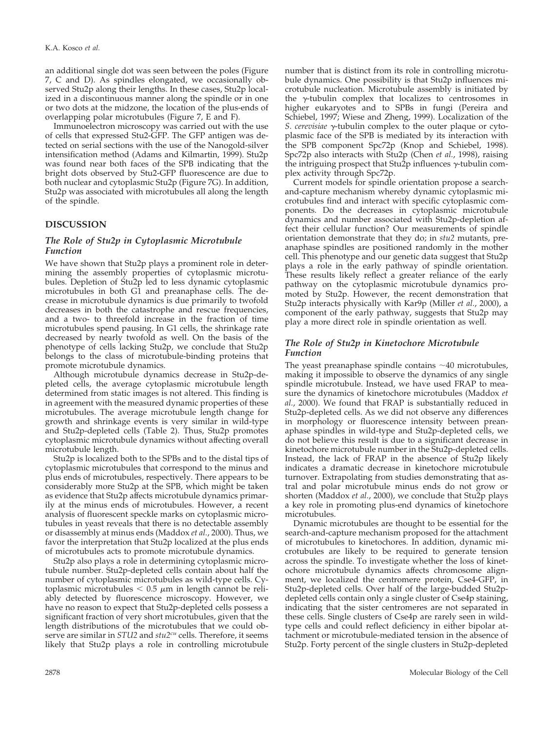an additional single dot was seen between the poles (Figure 7, C and D). As spindles elongated, we occasionally observed Stu2p along their lengths. In these cases, Stu2p localized in a discontinuous manner along the spindle or in one or two dots at the midzone, the location of the plus-ends of overlapping polar microtubules (Figure 7, E and F).

Immunoelectron microscopy was carried out with the use of cells that expressed Stu2-GFP. The GFP antigen was detected on serial sections with the use of the Nanogold-silver intensification method (Adams and Kilmartin, 1999). Stu2p was found near both faces of the SPB indicating that the bright dots observed by Stu2-GFP fluorescence are due to both nuclear and cytoplasmic Stu2p (Figure 7G). In addition, Stu2p was associated with microtubules all along the length of the spindle.

## **DISCUSSION**

#### *The Role of Stu2p in Cytoplasmic Microtubule Function*

We have shown that Stu2p plays a prominent role in determining the assembly properties of cytoplasmic microtubules. Depletion of Stu2p led to less dynamic cytoplasmic microtubules in both G1 and preanaphase cells. The decrease in microtubule dynamics is due primarily to twofold decreases in both the catastrophe and rescue frequencies, and a two- to threefold increase in the fraction of time microtubules spend pausing. In G1 cells, the shrinkage rate decreased by nearly twofold as well. On the basis of the phenotype of cells lacking Stu2p, we conclude that Stu2p belongs to the class of microtubule-binding proteins that promote microtubule dynamics.

Although microtubule dynamics decrease in Stu2p-depleted cells, the average cytoplasmic microtubule length determined from static images is not altered. This finding is in agreement with the measured dynamic properties of these microtubules. The average microtubule length change for growth and shrinkage events is very similar in wild-type and Stu2p-depleted cells (Table 2). Thus, Stu2p promotes cytoplasmic microtubule dynamics without affecting overall microtubule length.

Stu2p is localized both to the SPBs and to the distal tips of cytoplasmic microtubules that correspond to the minus and plus ends of microtubules, respectively. There appears to be considerably more Stu2p at the SPB, which might be taken as evidence that Stu2p affects microtubule dynamics primarily at the minus ends of microtubules. However, a recent analysis of fluorescent speckle marks on cytoplasmic microtubules in yeast reveals that there is no detectable assembly or disassembly at minus ends (Maddox *et al.*, 2000). Thus, we favor the interpretation that Stu2p localized at the plus ends of microtubules acts to promote microtubule dynamics.

Stu2p also plays a role in determining cytoplasmic microtubule number. Stu2p-depleted cells contain about half the number of cytoplasmic microtubules as wild-type cells. Cytoplasmic microtubules  $< 0.5 \mu$ m in length cannot be reliably detected by fluorescence microscopy. However, we have no reason to expect that Stu2p-depleted cells possess a significant fraction of very short microtubules, given that the length distributions of the microtubules that we could observe are similar in *STU2* and *stu2cu* cells. Therefore, it seems likely that Stu2p plays a role in controlling microtubule number that is distinct from its role in controlling microtubule dynamics. One possibility is that Stu2p influences microtubule nucleation. Microtubule assembly is initiated by the  $\gamma$ -tubulin complex that localizes to centrosomes in higher eukaryotes and to SPBs in fungi (Pereira and Schiebel, 1997; Wiese and Zheng, 1999). Localization of the *S. cerevisiae*  $\gamma$ -tubulin complex to the outer plaque or cytoplasmic face of the SPB is mediated by its interaction with the SPB component Spc72p (Knop and Schiebel, 1998). Spc72p also interacts with Stu2p (Chen *et al.*, 1998), raising the intriguing prospect that Stu2p influences  $\gamma$ -tubulin complex activity through Spc72p.

Current models for spindle orientation propose a searchand-capture mechanism whereby dynamic cytoplasmic microtubules find and interact with specific cytoplasmic components. Do the decreases in cytoplasmic microtubule dynamics and number associated with Stu2p-depletion affect their cellular function? Our measurements of spindle orientation demonstrate that they do; in *stu2* mutants, preanaphase spindles are positioned randomly in the mother cell. This phenotype and our genetic data suggest that Stu2p plays a role in the early pathway of spindle orientation. These results likely reflect a greater reliance of the early pathway on the cytoplasmic microtubule dynamics promoted by Stu2p. However, the recent demonstration that Stu2p interacts physically with Kar9p (Miller *et al.*, 2000), a component of the early pathway, suggests that Stu2p may play a more direct role in spindle orientation as well.

## *The Role of Stu2p in Kinetochore Microtubule Function*

The yeast preanaphase spindle contains  $\sim$  40 microtubules, making it impossible to observe the dynamics of any single spindle microtubule. Instead, we have used FRAP to measure the dynamics of kinetochore microtubules (Maddox *et al.*, 2000). We found that FRAP is substantially reduced in Stu2p-depleted cells. As we did not observe any differences in morphology or fluorescence intensity between preanaphase spindles in wild-type and Stu2p-depleted cells, we do not believe this result is due to a significant decrease in kinetochore microtubule number in the Stu2p-depleted cells. Instead, the lack of FRAP in the absence of Stu2p likely indicates a dramatic decrease in kinetochore microtubule turnover. Extrapolating from studies demonstrating that astral and polar microtubule minus ends do not grow or shorten (Maddox *et al.*, 2000), we conclude that Stu2p plays a key role in promoting plus-end dynamics of kinetochore microtubules.

Dynamic microtubules are thought to be essential for the search-and-capture mechanism proposed for the attachment of microtubules to kinetochores. In addition, dynamic microtubules are likely to be required to generate tension across the spindle. To investigate whether the loss of kinetochore microtubule dynamics affects chromosome alignment, we localized the centromere protein, Cse4-GFP, in Stu2p-depleted cells. Over half of the large-budded Stu2pdepleted cells contain only a single cluster of Cse4p staining, indicating that the sister centromeres are not separated in these cells. Single clusters of Cse4p are rarely seen in wildtype cells and could reflect deficiency in either bipolar attachment or microtubule-mediated tension in the absence of Stu2p. Forty percent of the single clusters in Stu2p-depleted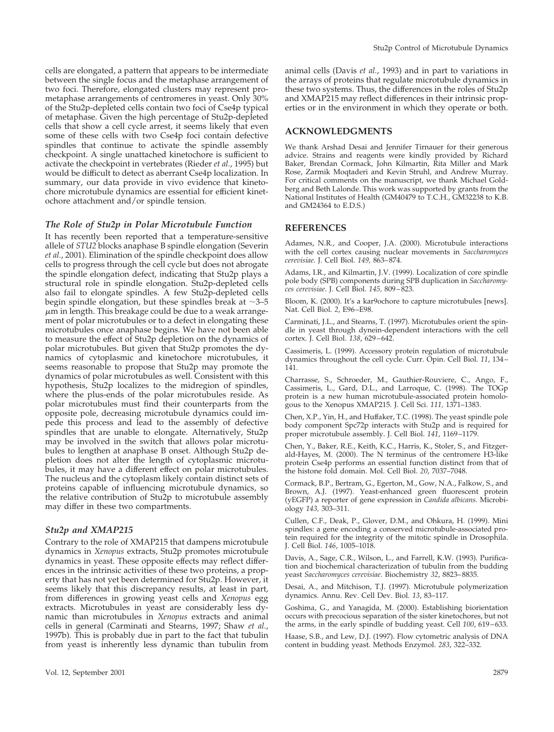cells are elongated, a pattern that appears to be intermediate between the single focus and the metaphase arrangement of two foci. Therefore, elongated clusters may represent prometaphase arrangements of centromeres in yeast. Only 30% of the Stu2p-depleted cells contain two foci of Cse4p typical of metaphase. Given the high percentage of Stu2p-depleted cells that show a cell cycle arrest, it seems likely that even some of these cells with two Cse4p foci contain defective spindles that continue to activate the spindle assembly checkpoint. A single unattached kinetochore is sufficient to activate the checkpoint in vertebrates (Rieder *et al.*, 1995) but would be difficult to detect as aberrant Cse4p localization. In summary, our data provide in vivo evidence that kinetochore microtubule dynamics are essential for efficient kinetochore attachment and/or spindle tension.

#### *The Role of Stu2p in Polar Microtubule Function*

It has recently been reported that a temperature-sensitive allele of *STU2* blocks anaphase B spindle elongation (Severin *et al.*, 2001). Elimination of the spindle checkpoint does allow cells to progress through the cell cycle but does not abrogate the spindle elongation defect, indicating that Stu2p plays a structural role in spindle elongation. Stu2p-depleted cells also fail to elongate spindles. A few Stu2p-depleted cells begin spindle elongation, but these spindles break at  $\sim$ 3–5  $\mu$ m in length. This breakage could be due to a weak arrangement of polar microtubules or to a defect in elongating these microtubules once anaphase begins. We have not been able to measure the effect of Stu2p depletion on the dynamics of polar microtubules. But given that Stu2p promotes the dynamics of cytoplasmic and kinetochore microtubules, it seems reasonable to propose that Stu2p may promote the dynamics of polar microtubules as well. Consistent with this hypothesis, Stu2p localizes to the midregion of spindles, where the plus-ends of the polar microtubules reside. As polar microtubules must find their counterparts from the opposite pole, decreasing microtubule dynamics could impede this process and lead to the assembly of defective spindles that are unable to elongate. Alternatively, Stu2p may be involved in the switch that allows polar microtubules to lengthen at anaphase B onset. Although Stu2p depletion does not alter the length of cytoplasmic microtubules, it may have a different effect on polar microtubules. The nucleus and the cytoplasm likely contain distinct sets of proteins capable of influencing microtubule dynamics, so the relative contribution of Stu2p to microtubule assembly may differ in these two compartments.

#### *Stu2p and XMAP215*

Contrary to the role of XMAP215 that dampens microtubule dynamics in *Xenopus* extracts, Stu2p promotes microtubule dynamics in yeast. These opposite effects may reflect differences in the intrinsic activities of these two proteins, a property that has not yet been determined for Stu2p. However, it seems likely that this discrepancy results, at least in part, from differences in growing yeast cells and *Xenopus* egg extracts. Microtubules in yeast are considerably less dynamic than microtubules in *Xenopus* extracts and animal cells in general (Carminati and Stearns, 1997; Shaw *et al.*, 1997b). This is probably due in part to the fact that tubulin from yeast is inherently less dynamic than tubulin from

animal cells (Davis *et al.*, 1993) and in part to variations in the arrays of proteins that regulate microtubule dynamics in these two systems. Thus, the differences in the roles of Stu2p and XMAP215 may reflect differences in their intrinsic properties or in the environment in which they operate or both.

#### **ACKNOWLEDGMENTS**

We thank Arshad Desai and Jennifer Tirnauer for their generous advice. Strains and reagents were kindly provided by Richard Baker, Brendan Cormack, John Kilmartin, Rita Miller and Mark Rose, Zarmik Moqtaderi and Kevin Struhl, and Andrew Murray. For critical comments on the manuscript, we thank Michael Goldberg and Beth Lalonde. This work was supported by grants from the National Institutes of Health (GM40479 to T.C.H., GM32238 to K.B. and GM24364 to E.D.S.)

#### **REFERENCES**

Adames, N.R., and Cooper, J.A. (2000). Microtubule interactions with the cell cortex causing nuclear movements in *Saccharomyces cerevisiae*. J. Cell Biol. *149,* 863–874.

Adams, I.R., and Kilmartin, J.V. (1999). Localization of core spindle pole body (SPB) components during SPB duplication in *Saccharomyces cerevisiae*. J. Cell Biol. *145,* 809–823.

Bloom, K. (2000). It's a kar9ochore to capture microtubules [news]. Nat. Cell Biol. *2*, E96–E98.

Carminati, J.L., and Stearns, T. (1997). Microtubules orient the spindle in yeast through dynein-dependent interactions with the cell cortex. J. Cell Biol. *138*, 629–642.

Cassimeris, L. (1999). Accessory protein regulation of microtubule dynamics throughout the cell cycle. Curr. Opin. Cell Biol. *11*, 134– 141.

Charrasse, S., Schroeder, M., Gauthier-Rouviere, C., Ango, F., Cassimeris, L., Gard, D.L., and Larroque, C. (1998). The TOGp protein is a new human microtubule-associated protein homologous to the Xenopus XMAP215. J. Cell Sci. *111,* 1371–1383.

Chen, X.P., Yin, H., and Huffaker, T.C. (1998). The yeast spindle pole body component Spc72p interacts with Stu2p and is required for proper microtubule assembly. J. Cell Biol. *141*, 1169–1179.

Chen, Y., Baker, R.E., Keith, K.C., Harris, K., Stoler, S., and Fitzgerald-Hayes, M. (2000). The N terminus of the centromere H3-like protein Cse4p performs an essential function distinct from that of the histone fold domain. Mol. Cell Biol. *20*, 7037–7048.

Cormack, B.P., Bertram, G., Egerton, M., Gow, N.A., Falkow, S., and Brown, A.J. (1997). Yeast-enhanced green fluorescent protein (yEGFP) a reporter of gene expression in *Candida albicans.* Microbiology *143,* 303–311.

Cullen, C.F., Deak, P., Glover, D.M., and Ohkura, H. (1999). Mini spindles: a gene encoding a conserved microtubule-associated protein required for the integrity of the mitotic spindle in Drosophila. J. Cell Biol. *146*, 1005–1018.

Davis, A., Sage, C.R., Wilson, L., and Farrell, K.W. (1993). Purification and biochemical characterization of tubulin from the budding yeast *Saccharomyces cerevisiae*. Biochemistry *32*, 8823–8835.

Desai, A., and Mitchison, T.J. (1997). Microtubule polymerization dynamics. Annu. Rev. Cell Dev. Biol. *13*, 83–117.

Goshima, G., and Yanagida, M. (2000). Establishing biorientation occurs with precocious separation of the sister kinetochores, but not the arms, in the early spindle of budding yeast. Cell *100*, 619–633.

Haase, S.B., and Lew, D.J. (1997). Flow cytometric analysis of DNA content in budding yeast. Methods Enzymol. *283*, 322–332.